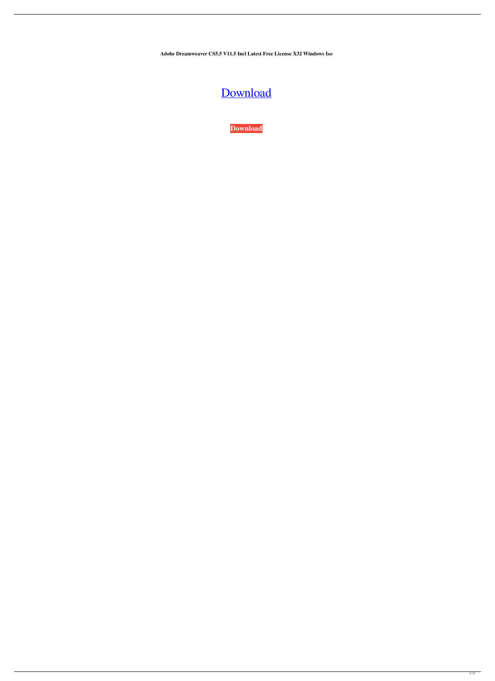**Adobe Dreamweaver CS5.5 V11.5 Incl Latest Free License X32 Windows Iso**

## [Download](http://evacdir.com/ZG93bmxvYWR8STF6TW1GcGEzeDhNVFkxTWpjME1EZzJObng4TWpVM05IeDhLRTBwSUhKbFlXUXRZbXh2WnlCYlJtRnpkQ0JIUlU1ZA/conservatory.electrolysis.eliminator.xpop.forensic.reserved..RlVMTCBBZG9iZS5EcmVhbXdlYXZlci5DUzUuNS52MTEuNS5JbmNsLktleW1ha2VyLUNPUkURlV)

**[Download](http://evacdir.com/ZG93bmxvYWR8STF6TW1GcGEzeDhNVFkxTWpjME1EZzJObng4TWpVM05IeDhLRTBwSUhKbFlXUXRZbXh2WnlCYlJtRnpkQ0JIUlU1ZA/conservatory.electrolysis.eliminator.xpop.forensic.reserved..RlVMTCBBZG9iZS5EcmVhbXdlYXZlci5DUzUuNS52MTEuNS5JbmNsLktleW1ha2VyLUNPUkURlV)**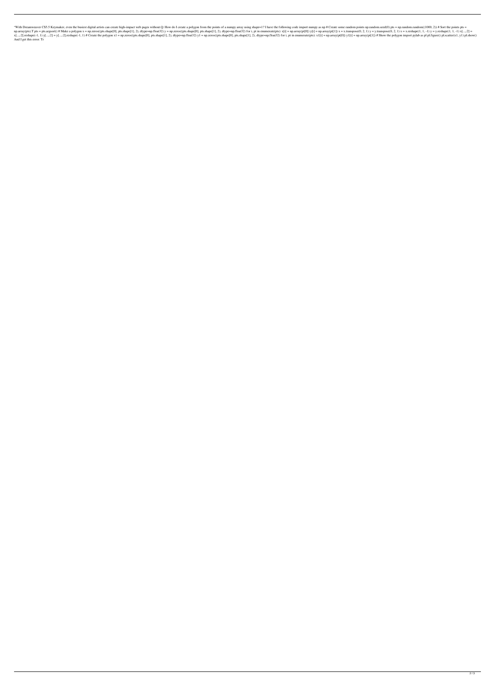"With Dreamweaver CS5.5 Keymaker, even the busiest digital artists can create high-impact web pages without.Q: How do I create a polygon from the points of a numpy array using shape=1? I have the following code import nump  $p_1$ ,  $p_2$  array(pts). T pts = pts.argsort() # Make a polygon x = np.zeros((pts.shape[0], pts.shape[1], 2), dtype=np.float32)  $y$  = np.zeros((pts.shape[1], 2), dtype=np.float32) for i, pt in enumerate(pts): x[i] = np.ar x[...,:2].reshape(-1, 1) y[...,:2].reshape(-1, 1) y[...,:2].reshape(-1, 1) # Create the polygon x1 = np.zeros(((pts.shape[0], pts.shape[1], 2), dtype=np.float32) y1 = np.zeros((pts.shape[1], 2), dtype=np.float32) for i, pt And I get this error: Tr